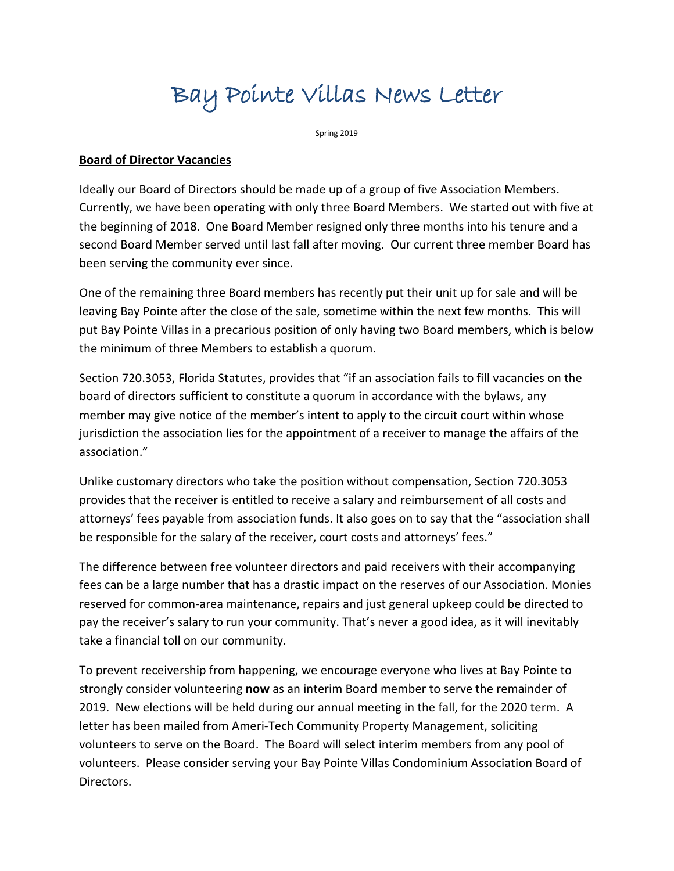# Bay Pointe Villas News Letter

Spring 2019

#### **Board of Director Vacancies**

Ideally our Board of Directors should be made up of a group of five Association Members. Currently, we have been operating with only three Board Members. We started out with five at the beginning of 2018. One Board Member resigned only three months into his tenure and a second Board Member served until last fall after moving. Our current three member Board has been serving the community ever since.

One of the remaining three Board members has recently put their unit up for sale and will be leaving Bay Pointe after the close of the sale, sometime within the next few months. This will put Bay Pointe Villas in a precarious position of only having two Board members, which is below the minimum of three Members to establish a quorum.

Section 720.3053, Florida Statutes, provides that "if an association fails to fill vacancies on the board of directors sufficient to constitute a quorum in accordance with the bylaws, any member may give notice of the member's intent to apply to the circuit court within whose jurisdiction the association lies for the appointment of a receiver to manage the affairs of the association."

Unlike customary directors who take the position without compensation, Section 720.3053 provides that the receiver is entitled to receive a salary and reimbursement of all costs and attorneys' fees payable from association funds. It also goes on to say that the "association shall be responsible for the salary of the receiver, court costs and attorneys' fees."

The difference between free volunteer directors and paid receivers with their accompanying fees can be a large number that has a drastic impact on the reserves of our Association. Monies reserved for common-area maintenance, repairs and just general upkeep could be directed to pay the receiver's salary to run your community. That's never a good idea, as it will inevitably take a financial toll on our community.

To prevent receivership from happening, we encourage everyone who lives at Bay Pointe to strongly consider volunteering **now** as an interim Board member to serve the remainder of 2019. New elections will be held during our annual meeting in the fall, for the 2020 term. A letter has been mailed from Ameri-Tech Community Property Management, soliciting volunteers to serve on the Board. The Board will select interim members from any pool of volunteers. Please consider serving your Bay Pointe Villas Condominium Association Board of Directors.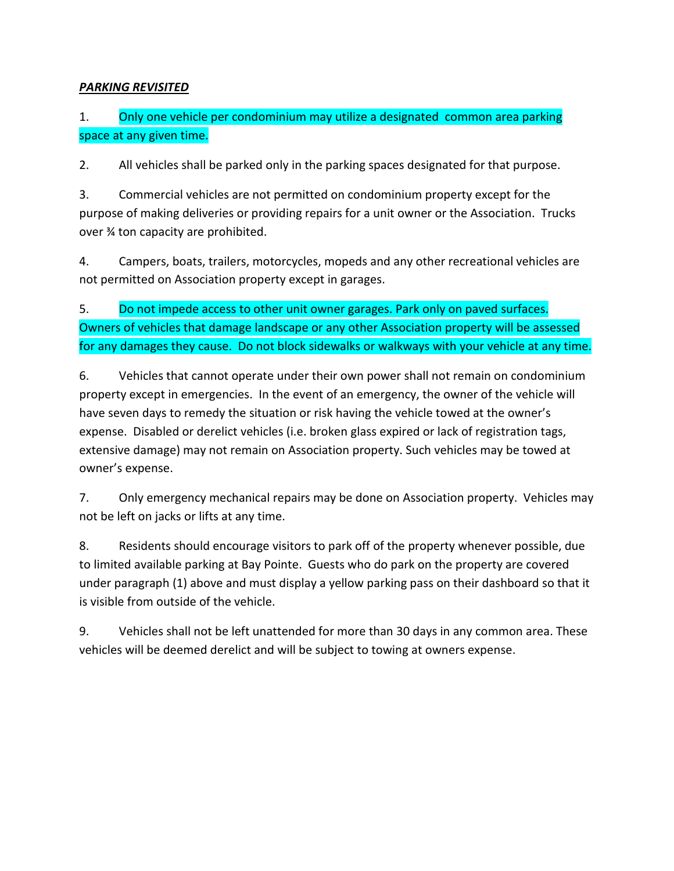## *PARKING REVISITED*

# 1. Only one vehicle per condominium may utilize a designated common area parking space at any given time.

2. All vehicles shall be parked only in the parking spaces designated for that purpose.

3. Commercial vehicles are not permitted on condominium property except for the purpose of making deliveries or providing repairs for a unit owner or the Association. Trucks over ¾ ton capacity are prohibited.

4. Campers, boats, trailers, motorcycles, mopeds and any other recreational vehicles are not permitted on Association property except in garages.

5. Do not impede access to other unit owner garages. Park only on paved surfaces. Owners of vehicles that damage landscape or any other Association property will be assessed for any damages they cause. Do not block sidewalks or walkways with your vehicle at any time.

6. Vehicles that cannot operate under their own power shall not remain on condominium property except in emergencies. In the event of an emergency, the owner of the vehicle will have seven days to remedy the situation or risk having the vehicle towed at the owner's expense. Disabled or derelict vehicles (i.e. broken glass expired or lack of registration tags, extensive damage) may not remain on Association property. Such vehicles may be towed at owner's expense.

7. Only emergency mechanical repairs may be done on Association property. Vehicles may not be left on jacks or lifts at any time.

8. Residents should encourage visitors to park off of the property whenever possible, due to limited available parking at Bay Pointe. Guests who do park on the property are covered under paragraph (1) above and must display a yellow parking pass on their dashboard so that it is visible from outside of the vehicle.

9. Vehicles shall not be left unattended for more than 30 days in any common area. These vehicles will be deemed derelict and will be subject to towing at owners expense.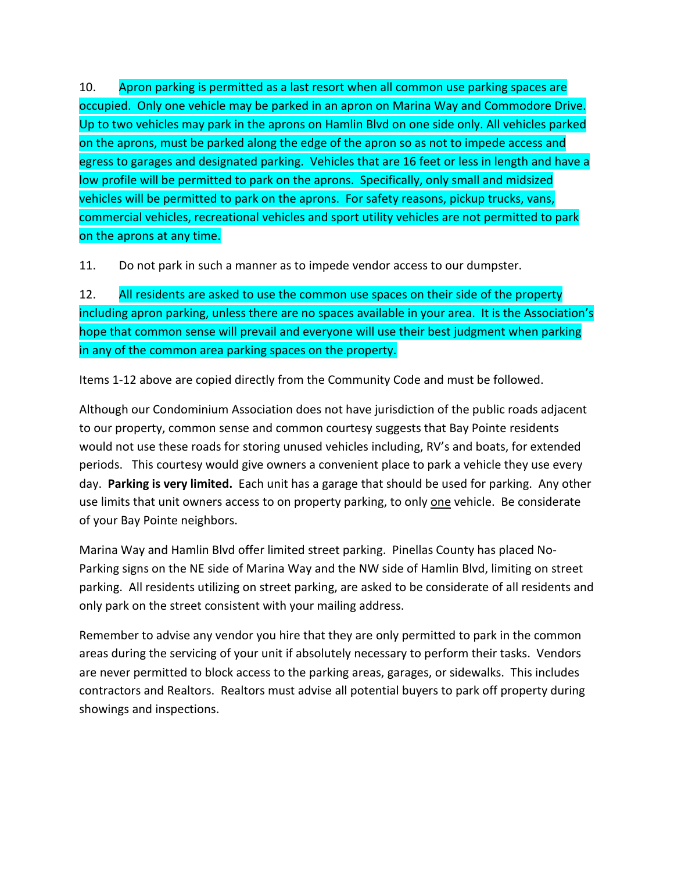10. Apron parking is permitted as a last resort when all common use parking spaces are occupied. Only one vehicle may be parked in an apron on Marina Way and Commodore Drive. Up to two vehicles may park in the aprons on Hamlin Blvd on one side only. All vehicles parked on the aprons, must be parked along the edge of the apron so as not to impede access and egress to garages and designated parking. Vehicles that are 16 feet or less in length and have a low profile will be permitted to park on the aprons. Specifically, only small and midsized vehicles will be permitted to park on the aprons. For safety reasons, pickup trucks, vans, commercial vehicles, recreational vehicles and sport utility vehicles are not permitted to park on the aprons at any time.

11. Do not park in such a manner as to impede vendor access to our dumpster.

12. All residents are asked to use the common use spaces on their side of the property including apron parking, unless there are no spaces available in your area. It is the Association's hope that common sense will prevail and everyone will use their best judgment when parking in any of the common area parking spaces on the property.

Items 1-12 above are copied directly from the Community Code and must be followed.

Although our Condominium Association does not have jurisdiction of the public roads adjacent to our property, common sense and common courtesy suggests that Bay Pointe residents would not use these roads for storing unused vehicles including, RV's and boats, for extended periods. This courtesy would give owners a convenient place to park a vehicle they use every day. **Parking is very limited.** Each unit has a garage that should be used for parking. Any other use limits that unit owners access to on property parking, to only one vehicle. Be considerate of your Bay Pointe neighbors.

Marina Way and Hamlin Blvd offer limited street parking. Pinellas County has placed No-Parking signs on the NE side of Marina Way and the NW side of Hamlin Blvd, limiting on street parking. All residents utilizing on street parking, are asked to be considerate of all residents and only park on the street consistent with your mailing address.

Remember to advise any vendor you hire that they are only permitted to park in the common areas during the servicing of your unit if absolutely necessary to perform their tasks. Vendors are never permitted to block access to the parking areas, garages, or sidewalks. This includes contractors and Realtors. Realtors must advise all potential buyers to park off property during showings and inspections.